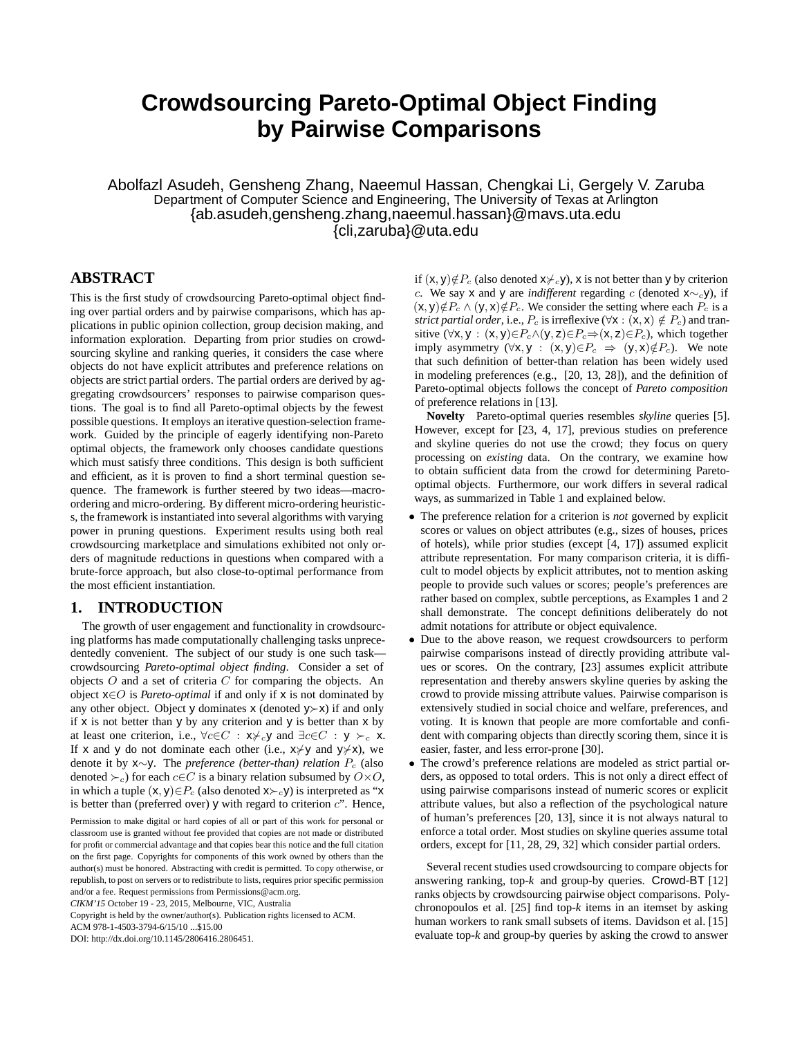# **Crowdsourcing Pareto-Optimal Object Finding by Pairwise Comparisons**

Abolfazl Asudeh, Gensheng Zhang, Naeemul Hassan, Chengkai Li, Gergely V. Zaruba Department of Computer Science and Engineering, The University of Texas at Arlington {ab.asudeh,gensheng.zhang,naeemul.hassan}@mavs.uta.edu {cli,zaruba}@uta.edu

# **ABSTRACT**

This is the first study of crowdsourcing Pareto-optimal object finding over partial orders and by pairwise comparisons, which has applications in public opinion collection, group decision making, and information exploration. Departing from prior studies on crowdsourcing skyline and ranking queries, it considers the case where objects do not have explicit attributes and preference relations on objects are strict partial orders. The partial orders are derived by aggregating crowdsourcers' responses to pairwise comparison questions. The goal is to find all Pareto-optimal objects by the fewest possible questions. It employs an iterative question-selection framework. Guided by the principle of eagerly identifying non-Pareto optimal objects, the framework only chooses candidate questions which must satisfy three conditions. This design is both sufficient and efficient, as it is proven to find a short terminal question sequence. The framework is further steered by two ideas—macroordering and micro-ordering. By different micro-ordering heuristics, the framework is instantiated into several algorithms with varying power in pruning questions. Experiment results using both real crowdsourcing marketplace and simulations exhibited not only orders of magnitude reductions in questions when compared with a brute-force approach, but also close-to-optimal performance from the most efficient instantiation.

## **1. INTRODUCTION**

The growth of user engagement and functionality in crowdsourcing platforms has made computationally challenging tasks unprecedentedly convenient. The subject of our study is one such task crowdsourcing *Pareto-optimal object finding*. Consider a set of objects  $O$  and a set of criteria  $C$  for comparing the objects. An object x∈O is *Pareto-optimal* if and only if x is not dominated by any other object. Object y dominates x (denoted y≻x) if and only if  $x$  is not better than  $y$  by any criterion and  $y$  is better than  $x$  by at least one criterion, i.e.,  $\forall c \in C : x \neq c$  and  $\exists c \in C : y \succ_c x$ . If x and y do not dominate each other (i.e.,  $x \nless y$  and  $y \nless x$ ), we denote it by x∼y. The *preference (better-than) relation* P<sup>c</sup> (also denoted  $\succ_{c}$ ) for each  $c \in C$  is a binary relation subsumed by  $O \times O$ , in which a tuple  $(x, y) \in P_c$  (also denoted  $x \succ c$ y) is interpreted as "x is better than (preferred over)  $y$  with regard to criterion  $c$ ". Hence,

Permission to make digital or hard copies of all or part of this work for personal or classroom use is granted without fee provided that copies are not made or distributed for profit or commercial advantage and that copies bear this notice and the full citation on the first page. Copyrights for components of this work owned by others than the author(s) must be honored. Abstracting with credit is permitted. To copy otherwise, or republish, to post on servers or to redistribute to lists, requires prior specific permission and/or a fee. Request permissions from Permissions@acm.org.

Copyright is held by the owner/author(s). Publication rights licensed to ACM.

DOI: http://dx.doi.org/10.1145/2806416.2806451.

if  $(x, y) \notin P_c$  (also denoted  $x \nless c y$ ), x is not better than y by criterion c. We say x and y are *indifferent* regarding c (denoted  $x \sim c$ y), if  $(x, y) \notin P_c \wedge (y, x) \notin P_c$ . We consider the setting where each  $P_c$  is a *strict partial order*, i.e.,  $P_c$  is irreflexive ( $\forall$ **x** :  $(\mathbf{x}, \mathbf{x}) \notin P_c$ ) and transitive (∀x, y : (x, y)∈ $P_c \land (y, z) \in P_c \Rightarrow (x, z) \in P_c$ ), which together imply asymmetry  $(\forall x, y : (x, y) \in P_c \Rightarrow (y, x) \notin P_c)$ . We note that such definition of better-than relation has been widely used in modeling preferences (e.g., [20, 13, 28]), and the definition of Pareto-optimal objects follows the concept of *Pareto composition* of preference relations in [13].

**Novelty** Pareto-optimal queries resembles *skyline* queries [5]. However, except for [23, 4, 17], previous studies on preference and skyline queries do not use the crowd; they focus on query processing on *existing* data. On the contrary, we examine how to obtain sufficient data from the crowd for determining Paretooptimal objects. Furthermore, our work differs in several radical ways, as summarized in Table 1 and explained below.

- The preference relation for a criterion is *not* governed by explicit scores or values on object attributes (e.g., sizes of houses, prices of hotels), while prior studies (except [4, 17]) assumed explicit attribute representation. For many comparison criteria, it is difficult to model objects by explicit attributes, not to mention asking people to provide such values or scores; people's preferences are rather based on complex, subtle perceptions, as Examples 1 and 2 shall demonstrate. The concept definitions deliberately do not admit notations for attribute or object equivalence.
- Due to the above reason, we request crowdsourcers to perform pairwise comparisons instead of directly providing attribute values or scores. On the contrary, [23] assumes explicit attribute representation and thereby answers skyline queries by asking the crowd to provide missing attribute values. Pairwise comparison is extensively studied in social choice and welfare, preferences, and voting. It is known that people are more comfortable and confident with comparing objects than directly scoring them, since it is easier, faster, and less error-prone [30].
- The crowd's preference relations are modeled as strict partial orders, as opposed to total orders. This is not only a direct effect of using pairwise comparisons instead of numeric scores or explicit attribute values, but also a reflection of the psychological nature of human's preferences [20, 13], since it is not always natural to enforce a total order. Most studies on skyline queries assume total orders, except for [11, 28, 29, 32] which consider partial orders.

Several recent studies used crowdsourcing to compare objects for answering ranking, top-*k* and group-by queries. Crowd-BT [12] ranks objects by crowdsourcing pairwise object comparisons. Polychronopoulos et al. [25] find top-*k* items in an itemset by asking human workers to rank small subsets of items. Davidson et al. [15] evaluate top-*k* and group-by queries by asking the crowd to answer

*CIKM'15* October 19 - 23, 2015, Melbourne, VIC, Australia

ACM 978-1-4503-3794-6/15/10 ...\$15.00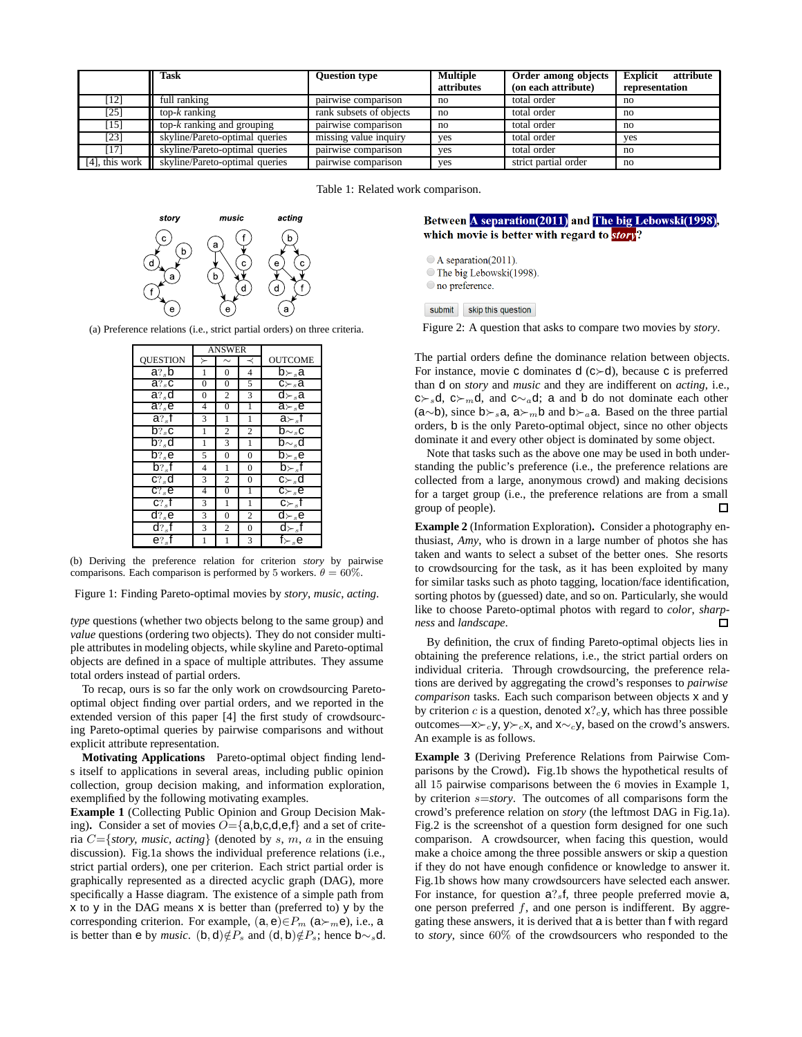|                   | Task                                           | <b>Question type</b>    | <b>Multiple</b><br>attributes | Order among objects<br>(on each attribute) | Explicit<br>attribute<br>representation |
|-------------------|------------------------------------------------|-------------------------|-------------------------------|--------------------------------------------|-----------------------------------------|
| $[12]$            | full ranking                                   | pairwise comparison     | no                            | total order                                | no                                      |
| $[25]$            | top- $k$ ranking                               | rank subsets of objects | no                            | total order                                | no                                      |
| $[15]$            | $\overline{\text{top-}k}$ ranking and grouping | pairwise comparison     | no                            | total order                                | no                                      |
| $[23]$            | skyline/Pareto-optimal queries                 | missing value inquiry   | ves                           | total order                                | ves                                     |
| [17]              | skyline/Pareto-optimal queries                 | pairwise comparison     | ves                           | total order                                | no                                      |
| $[4]$ , this work | skyline/Pareto-optimal queries                 | pairwise comparison     | ves                           | strict partial order                       | no                                      |

Table 1: Related work comparison.



(a) Preference relations (i.e., strict partial orders) on three criteria.

|                    | ANSWER         |                |                |                                                  |
|--------------------|----------------|----------------|----------------|--------------------------------------------------|
| <b>OUESTION</b>    |                |                |                | <b>OUTCOME</b>                                   |
| $a\overline{a}$    | 1              | $\theta$       | 4              | b⊱ <sub>∘</sub> a                                |
| $a$ ? $_{\circ}$ c | 0              | $\overline{0}$ | 5              | c⊱ <sub>s</sub> a                                |
| $\overline{a}$ ? d | $\overline{0}$ | $\overline{c}$ | 3              | $d \rightarrow_s a$                              |
| $a_{s}$ e          | 4              | $\overline{0}$ | 1              | a⊱ <sub>s</sub> e                                |
| a?.f               | 3              | 1              | 1              | a⊱∍f                                             |
| $b?_{s}c$          | 1              | $\overline{2}$ | $\overline{c}$ | $\overline{\mathsf{b}} \sim_{s} \mathsf{c}$      |
| $p_s q$            | 1              | 3              | 1              | $\overline{\mathsf{b}}\sim_\mathrm{s}\mathsf{d}$ |
| b?,e               | 5              | $\overline{0}$ | $\overline{0}$ | b⊱ <sub>s</sub> e                                |
| $b$ ? $\epsilon$ f | 4              | 1              | $\theta$       | b⊱。f                                             |
| $C$ ? $_{\circ}$ d | 3              | $\overline{c}$ | $\theta$       | $\overline{c_{\succ_{s}}d}$                      |
| $c_{\cdot s}$ e    | 4              | 0              | 1              | $c_{\succ s}$ e                                  |
| $C$ ? $s$ f        | 3              | 1              | 1              | $c_{\succ s}$ t                                  |
| $d$ ? $e$          | 3              | $\overline{0}$ | $\overline{c}$ | d⊱ <sub>s</sub> e                                |
| $d_?$ f            | 3              | $\overline{c}$ | $\overline{0}$ | d≻∍f                                             |
| e? f               | 1              |                | 3              | f⊱ $_s$ e                                        |

(b) Deriving the preference relation for criterion *story* by pairwise comparisons. Each comparison is performed by 5 workers.  $\theta = 60\%$ .

Figure 1: Finding Pareto-optimal movies by *story*, *music*, *acting*.

*type* questions (whether two objects belong to the same group) and *value* questions (ordering two objects). They do not consider multiple attributes in modeling objects, while skyline and Pareto-optimal objects are defined in a space of multiple attributes. They assume total orders instead of partial orders.

To recap, ours is so far the only work on crowdsourcing Paretooptimal object finding over partial orders, and we reported in the extended version of this paper [4] the first study of crowdsourcing Pareto-optimal queries by pairwise comparisons and without explicit attribute representation.

**Motivating Applications** Pareto-optimal object finding lends itself to applications in several areas, including public opinion collection, group decision making, and information exploration, exemplified by the following motivating examples.

**Example 1** (Collecting Public Opinion and Group Decision Making). Consider a set of movies  $O = \{a,b,c,d,e,f\}$  and a set of criteria  $C = \{story, music, acting\}$  (denoted by s, m, a in the ensuing discussion). Fig.1a shows the individual preference relations (i.e., strict partial orders), one per criterion. Each strict partial order is graphically represented as a directed acyclic graph (DAG), more specifically a Hasse diagram. The existence of a simple path from x to y in the DAG means x is better than (preferred to) y by the corresponding criterion. For example,  $(a, e) \in P_m$   $(a \succ_m e)$ , i.e., a is better than e by *music*. (b, d) $\notin P_s$  and  $(d, b) \notin P_s$ ; hence b∼<sub>s</sub>d. Between A separation(2011) and The big Lebowski(1998) which movie is better with regard to *story*?

A separation(2011).

O The big Lebowski(1998).

O no preference.

submit skip this question

Figure 2: A question that asks to compare two movies by *story*.

The partial orders define the dominance relation between objects. For instance, movie c dominates d (c≻d), because c is preferred than d on *story* and *music* and they are indifferent on *acting*, i.e., c≻<sub>s</sub>d, c≻<sub>m</sub>d, and c∼<sub>a</sub>d; a and b do not dominate each other (a∼b), since b≻<sub>s</sub>a, a≻<sub>m</sub>b and b≻<sub>a</sub>a. Based on the three partial orders, b is the only Pareto-optimal object, since no other objects dominate it and every other object is dominated by some object.

Note that tasks such as the above one may be used in both understanding the public's preference (i.e., the preference relations are collected from a large, anonymous crowd) and making decisions for a target group (i.e., the preference relations are from a small group of people). П

**Example 2** (Information Exploration)**.** Consider a photography enthusiast, *Amy*, who is drown in a large number of photos she has taken and wants to select a subset of the better ones. She resorts to crowdsourcing for the task, as it has been exploited by many for similar tasks such as photo tagging, location/face identification, sorting photos by (guessed) date, and so on. Particularly, she would like to choose Pareto-optimal photos with regard to *color*, *sharpness* and *landscape*. п

By definition, the crux of finding Pareto-optimal objects lies in obtaining the preference relations, i.e., the strict partial orders on individual criteria. Through crowdsourcing, the preference relations are derived by aggregating the crowd's responses to *pairwise comparison* tasks. Each such comparison between objects x and y by criterion  $c$  is a question, denoted  $x$ ? $c$ y, which has three possible outcomes—x≻<sub>c</sub>y, y≻<sub>c</sub>x, and x∼<sub>c</sub>y, based on the crowd's answers. An example is as follows.

**Example 3** (Deriving Preference Relations from Pairwise Comparisons by the Crowd)**.** Fig.1b shows the hypothetical results of all 15 pairwise comparisons between the 6 movies in Example 1, by criterion s=*story*. The outcomes of all comparisons form the crowd's preference relation on *story* (the leftmost DAG in Fig.1a). Fig.2 is the screenshot of a question form designed for one such comparison. A crowdsourcer, when facing this question, would make a choice among the three possible answers or skip a question if they do not have enough confidence or knowledge to answer it. Fig.1b shows how many crowdsourcers have selected each answer. For instance, for question  $a^2_s$ f, three people preferred movie a, one person preferred  $f$ , and one person is indifferent. By aggregating these answers, it is derived that a is better than f with regard to *story*, since 60% of the crowdsourcers who responded to the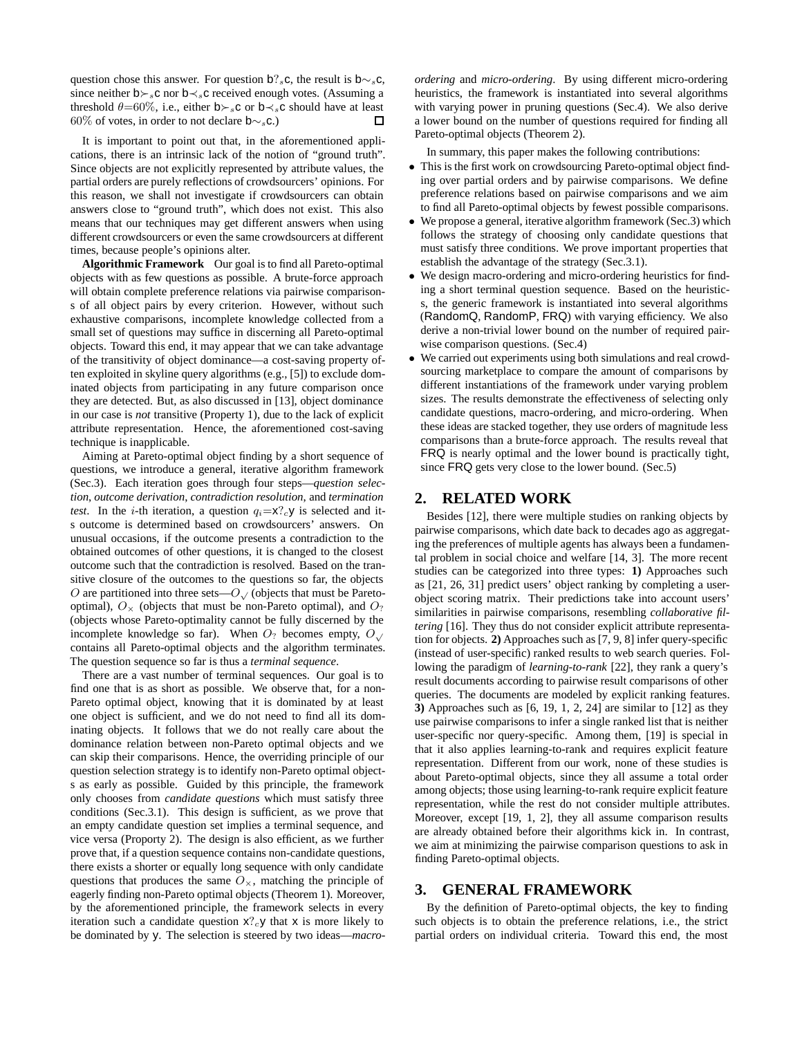question chose this answer. For question b?<sub>s</sub>c, the result is b∼<sub>s</sub>c, since neither  $b \succ s c$  nor  $b \prec s c$  received enough votes. (Assuming a threshold  $\theta$ =60%, i.e., either **b**≻<sub>s</sub>**c** or **b**≺<sub>s</sub>**c** should have at least 60% of votes, in order to not declare b∼sc.)  $\Box$ 

It is important to point out that, in the aforementioned applications, there is an intrinsic lack of the notion of "ground truth". Since objects are not explicitly represented by attribute values, the partial orders are purely reflections of crowdsourcers' opinions. For this reason, we shall not investigate if crowdsourcers can obtain answers close to "ground truth", which does not exist. This also means that our techniques may get different answers when using different crowdsourcers or even the same crowdsourcers at different times, because people's opinions alter.

**Algorithmic Framework** Our goal is to find all Pareto-optimal objects with as few questions as possible. A brute-force approach will obtain complete preference relations via pairwise comparisons of all object pairs by every criterion. However, without such exhaustive comparisons, incomplete knowledge collected from a small set of questions may suffice in discerning all Pareto-optimal objects. Toward this end, it may appear that we can take advantage of the transitivity of object dominance—a cost-saving property often exploited in skyline query algorithms (e.g., [5]) to exclude dominated objects from participating in any future comparison once they are detected. But, as also discussed in [13], object dominance in our case is *not* transitive (Property 1), due to the lack of explicit attribute representation. Hence, the aforementioned cost-saving technique is inapplicable.

Aiming at Pareto-optimal object finding by a short sequence of questions, we introduce a general, iterative algorithm framework (Sec.3). Each iteration goes through four steps—*question selection*, *outcome derivation*, *contradiction resolution*, and *termination test*. In the *i*-th iteration, a question  $q_i = x_i^2 c y$  is selected and its outcome is determined based on crowdsourcers' answers. On unusual occasions, if the outcome presents a contradiction to the obtained outcomes of other questions, it is changed to the closest outcome such that the contradiction is resolved. Based on the transitive closure of the outcomes to the questions so far, the objects O are partitioned into three sets— $O_{\mathcal{N}}$  (objects that must be Paretooptimal),  $O_x$  (objects that must be non-Pareto optimal), and  $O_2$ (objects whose Pareto-optimality cannot be fully discerned by the incomplete knowledge so far). When  $O_2$  becomes empty,  $O_{\sqrt{2}}$ contains all Pareto-optimal objects and the algorithm terminates. The question sequence so far is thus a *terminal sequence*.

There are a vast number of terminal sequences. Our goal is to find one that is as short as possible. We observe that, for a non-Pareto optimal object, knowing that it is dominated by at least one object is sufficient, and we do not need to find all its dominating objects. It follows that we do not really care about the dominance relation between non-Pareto optimal objects and we can skip their comparisons. Hence, the overriding principle of our question selection strategy is to identify non-Pareto optimal objects as early as possible. Guided by this principle, the framework only chooses from *candidate questions* which must satisfy three conditions (Sec.3.1). This design is sufficient, as we prove that an empty candidate question set implies a terminal sequence, and vice versa (Proporty 2). The design is also efficient, as we further prove that, if a question sequence contains non-candidate questions, there exists a shorter or equally long sequence with only candidate questions that produces the same  $O_{\times}$ , matching the principle of eagerly finding non-Pareto optimal objects (Theorem 1). Moreover, by the aforementioned principle, the framework selects in every iteration such a candidate question  $x?_c$ y that x is more likely to be dominated by y. The selection is steered by two ideas—*macro-* *ordering* and *micro-ordering*. By using different micro-ordering heuristics, the framework is instantiated into several algorithms with varying power in pruning questions (Sec.4). We also derive a lower bound on the number of questions required for finding all Pareto-optimal objects (Theorem 2).

In summary, this paper makes the following contributions:

- This is the first work on crowdsourcing Pareto-optimal object finding over partial orders and by pairwise comparisons. We define preference relations based on pairwise comparisons and we aim to find all Pareto-optimal objects by fewest possible comparisons.
- We propose a general, iterative algorithm framework (Sec.3) which follows the strategy of choosing only candidate questions that must satisfy three conditions. We prove important properties that establish the advantage of the strategy (Sec.3.1).
- We design macro-ordering and micro-ordering heuristics for finding a short terminal question sequence. Based on the heuristics, the generic framework is instantiated into several algorithms (RandomQ, RandomP, FRQ) with varying efficiency. We also derive a non-trivial lower bound on the number of required pairwise comparison questions. (Sec.4)
- We carried out experiments using both simulations and real crowdsourcing marketplace to compare the amount of comparisons by different instantiations of the framework under varying problem sizes. The results demonstrate the effectiveness of selecting only candidate questions, macro-ordering, and micro-ordering. When these ideas are stacked together, they use orders of magnitude less comparisons than a brute-force approach. The results reveal that FRQ is nearly optimal and the lower bound is practically tight, since FRQ gets very close to the lower bound. (Sec.5)

# **2. RELATED WORK**

Besides [12], there were multiple studies on ranking objects by pairwise comparisons, which date back to decades ago as aggregating the preferences of multiple agents has always been a fundamental problem in social choice and welfare [14, 3]. The more recent studies can be categorized into three types: **1)** Approaches such as [21, 26, 31] predict users' object ranking by completing a userobject scoring matrix. Their predictions take into account users' similarities in pairwise comparisons, resembling *collaborative filtering* [16]. They thus do not consider explicit attribute representation for objects. **2)** Approaches such as [7, 9, 8] infer query-specific (instead of user-specific) ranked results to web search queries. Following the paradigm of *learning-to-rank* [22], they rank a query's result documents according to pairwise result comparisons of other queries. The documents are modeled by explicit ranking features. **3)** Approaches such as [6, 19, 1, 2, 24] are similar to [12] as they use pairwise comparisons to infer a single ranked list that is neither user-specific nor query-specific. Among them, [19] is special in that it also applies learning-to-rank and requires explicit feature representation. Different from our work, none of these studies is about Pareto-optimal objects, since they all assume a total order among objects; those using learning-to-rank require explicit feature representation, while the rest do not consider multiple attributes. Moreover, except [19, 1, 2], they all assume comparison results are already obtained before their algorithms kick in. In contrast, we aim at minimizing the pairwise comparison questions to ask in finding Pareto-optimal objects.

# **3. GENERAL FRAMEWORK**

By the definition of Pareto-optimal objects, the key to finding such objects is to obtain the preference relations, i.e., the strict partial orders on individual criteria. Toward this end, the most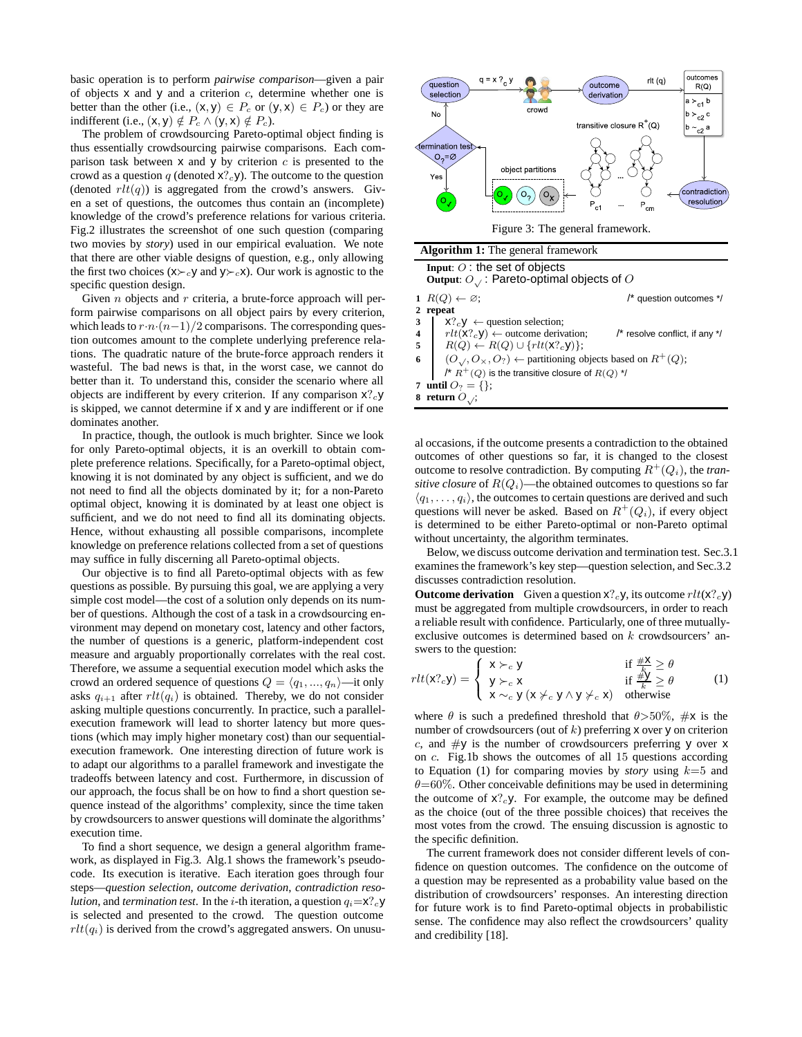basic operation is to perform *pairwise comparison*—given a pair of objects  $x$  and  $y$  and a criterion  $c$ , determine whether one is better than the other (i.e.,  $(x, y) \in P_c$  or  $(y, x) \in P_c$ ) or they are indifferent (i.e.,  $(\mathbf{x}, \mathbf{y}) \notin P_c \wedge (\mathbf{y}, \mathbf{x}) \notin P_c$ ).

The problem of crowdsourcing Pareto-optimal object finding is thus essentially crowdsourcing pairwise comparisons. Each comparison task between  $x$  and  $y$  by criterion  $c$  is presented to the crowd as a question q (denoted  $x?_c$ y). The outcome to the question (denoted  $rlt(q)$ ) is aggregated from the crowd's answers. Given a set of questions, the outcomes thus contain an (incomplete) knowledge of the crowd's preference relations for various criteria. Fig.2 illustrates the screenshot of one such question (comparing two movies by *story*) used in our empirical evaluation. We note that there are other viable designs of question, e.g., only allowing the first two choices ( $x \succ c$ y and  $y \succ c$ x). Our work is agnostic to the specific question design.

Given  $n$  objects and  $r$  criteria, a brute-force approach will perform pairwise comparisons on all object pairs by every criterion, which leads to  $r \cdot n \cdot (n-1)/2$  comparisons. The corresponding question outcomes amount to the complete underlying preference relations. The quadratic nature of the brute-force approach renders it wasteful. The bad news is that, in the worst case, we cannot do better than it. To understand this, consider the scenario where all objects are indifferent by every criterion. If any comparison  $x?_c$ y is skipped, we cannot determine if x and y are indifferent or if one dominates another.

In practice, though, the outlook is much brighter. Since we look for only Pareto-optimal objects, it is an overkill to obtain complete preference relations. Specifically, for a Pareto-optimal object, knowing it is not dominated by any object is sufficient, and we do not need to find all the objects dominated by it; for a non-Pareto optimal object, knowing it is dominated by at least one object is sufficient, and we do not need to find all its dominating objects. Hence, without exhausting all possible comparisons, incomplete knowledge on preference relations collected from a set of questions may suffice in fully discerning all Pareto-optimal objects.

Our objective is to find all Pareto-optimal objects with as few questions as possible. By pursuing this goal, we are applying a very simple cost model—the cost of a solution only depends on its number of questions. Although the cost of a task in a crowdsourcing environment may depend on monetary cost, latency and other factors, the number of questions is a generic, platform-independent cost measure and arguably proportionally correlates with the real cost. Therefore, we assume a sequential execution model which asks the crowd an ordered sequence of questions  $Q = \langle q_1, ..., q_n \rangle$ —it only asks  $q_{i+1}$  after  $rlt(q_i)$  is obtained. Thereby, we do not consider asking multiple questions concurrently. In practice, such a parallelexecution framework will lead to shorter latency but more questions (which may imply higher monetary cost) than our sequentialexecution framework. One interesting direction of future work is to adapt our algorithms to a parallel framework and investigate the tradeoffs between latency and cost. Furthermore, in discussion of our approach, the focus shall be on how to find a short question sequence instead of the algorithms' complexity, since the time taken by crowdsourcers to answer questions will dominate the algorithms' execution time.

To find a short sequence, we design a general algorithm framework, as displayed in Fig.3. Alg.1 shows the framework's pseudocode. Its execution is iterative. Each iteration goes through four steps—*question selection*, *outcome derivation*, *contradiction resolution*, and *termination test*. In the *i*-th iteration, a question  $q_i = x ? c y$ is selected and presented to the crowd. The question outcome  $rlt(q_i)$  is derived from the crowd's aggregated answers. On unusu-



|   | <b>Algorithm 1:</b> The general framework                                                                                                                                                                                                                                                                                                                                                   |  |  |  |  |  |  |
|---|---------------------------------------------------------------------------------------------------------------------------------------------------------------------------------------------------------------------------------------------------------------------------------------------------------------------------------------------------------------------------------------------|--|--|--|--|--|--|
|   | Input: $O$ : the set of objects<br>Output: $O_{\mathcal{N}}$ : Pareto-optimal objects of O                                                                                                                                                                                                                                                                                                  |  |  |  |  |  |  |
|   | $1 R(Q) \leftarrow \varnothing;$<br>/* question outcomes */                                                                                                                                                                                                                                                                                                                                 |  |  |  |  |  |  |
|   | 2 repeat                                                                                                                                                                                                                                                                                                                                                                                    |  |  |  |  |  |  |
| 3 | $X?_cY \leftarrow$ question selection;                                                                                                                                                                                                                                                                                                                                                      |  |  |  |  |  |  |
|   | $rlt(X?_cY) \leftarrow$ outcome derivation; $\qquad$ /* resolve conflict, if any */                                                                                                                                                                                                                                                                                                         |  |  |  |  |  |  |
|   |                                                                                                                                                                                                                                                                                                                                                                                             |  |  |  |  |  |  |
|   | 4<br>$H(R(Q) \leftarrow \text{Outconn} \text{ etc.}$<br>$R(Q) \leftarrow R(Q) \cup \{rlt(\mathbf{X}^2 \circ \mathbf{y})\};$<br>$\curvearrowright \curvearrowright \curvearrowright \curvearrowright \curvearrowright \curvearrowright \rightarrow \text{partitioning } \in \mathbb{C}$<br>6 $\bigcup (O_{\sqrt{2}}, O_{\times}, O_{?}) \leftarrow$ partitioning objects based on $R^+(Q)$ ; |  |  |  |  |  |  |
|   | /* $R^+(Q)$ is the transitive closure of $R(Q)$ */                                                                                                                                                                                                                                                                                                                                          |  |  |  |  |  |  |
| 7 | until $O_2 = \{\};$                                                                                                                                                                                                                                                                                                                                                                         |  |  |  |  |  |  |
|   | 8 return $O_{\lambda/2}$                                                                                                                                                                                                                                                                                                                                                                    |  |  |  |  |  |  |

al occasions, if the outcome presents a contradiction to the obtained outcomes of other questions so far, it is changed to the closest outcome to resolve contradiction. By computing  $R^+(Q_i)$ , the *transitive closure* of  $R(Q_i)$ —the obtained outcomes to questions so far  $\langle q_1, \ldots, q_i \rangle$ , the outcomes to certain questions are derived and such questions will never be asked. Based on  $R^+(Q_i)$ , if every object is determined to be either Pareto-optimal or non-Pareto optimal without uncertainty, the algorithm terminates.

Below, we discuss outcome derivation and termination test. Sec.3.1 examines the framework's key step—question selection, and Sec.3.2 discusses contradiction resolution.

**Outcome derivation** Given a question  $x?_c$ y, its outcome  $rlt(x?_c$ y) must be aggregated from multiple crowdsourcers, in order to reach a reliable result with confidence. Particularly, one of three mutuallyexclusive outcomes is determined based on k crowdsourcers' answers to the question:

$$
rlt(\mathbf{x}?\) = \begin{cases} \mathbf{x} \succ_c \mathbf{y} & \text{if } \frac{\# \mathbf{X}}{k} \ge \theta \\ \mathbf{y} \succ_c \mathbf{x} & \text{if } \frac{\# \mathbf{y}}{k} \ge \theta \\ \mathbf{x} \sim_c \mathbf{y} (\mathbf{x} \neq_c \mathbf{y} \land \mathbf{y} \neq_c \mathbf{x}) & \text{otherwise} \end{cases}
$$
 (1)

where  $\theta$  is such a predefined threshold that  $\theta > 50\%$ ,  $\#x$  is the number of crowdsourcers (out of  $k$ ) preferring  $x$  over  $y$  on criterion c, and  $\#$ y is the number of crowdsourcers preferring y over x on c. Fig.1b shows the outcomes of all 15 questions according to Equation (1) for comparing movies by *story* using  $k=5$  and  $\theta$ =60%. Other conceivable definitions may be used in determining the outcome of  $x?_c$ y. For example, the outcome may be defined as the choice (out of the three possible choices) that receives the most votes from the crowd. The ensuing discussion is agnostic to the specific definition.

The current framework does not consider different levels of confidence on question outcomes. The confidence on the outcome of a question may be represented as a probability value based on the distribution of crowdsourcers' responses. An interesting direction for future work is to find Pareto-optimal objects in probabilistic sense. The confidence may also reflect the crowdsourcers' quality and credibility [18].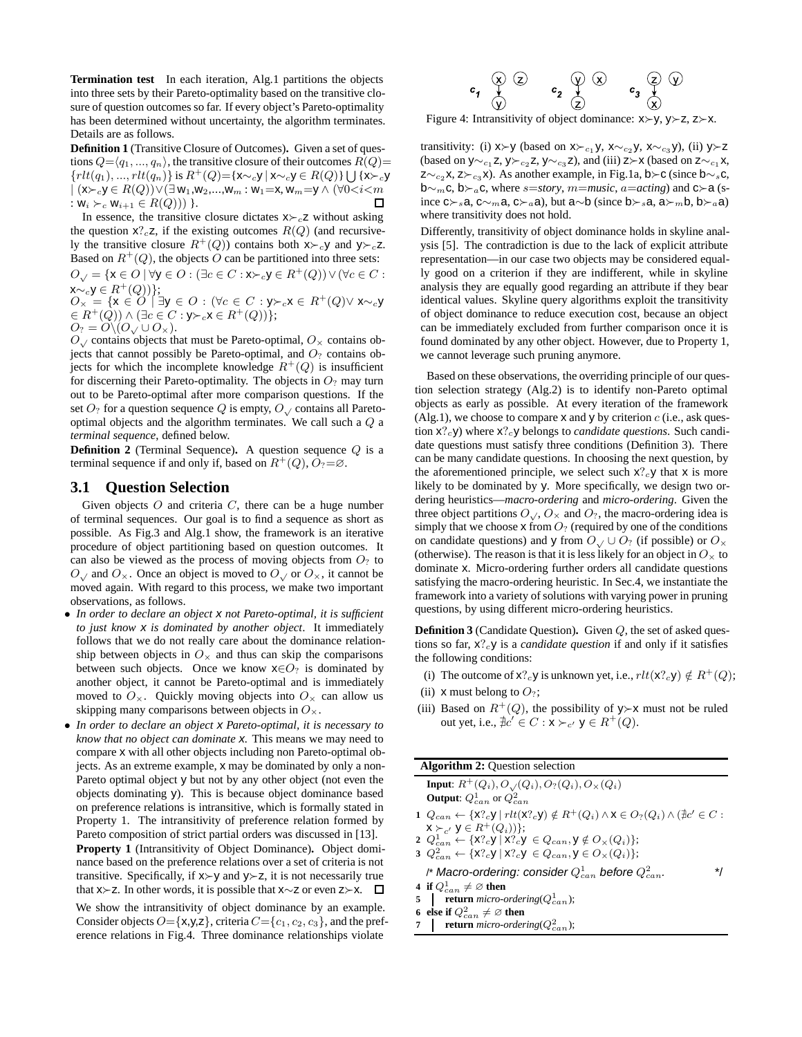**Termination test** In each iteration, Alg.1 partitions the objects into three sets by their Pareto-optimality based on the transitive closure of question outcomes so far. If every object's Pareto-optimality has been determined without uncertainty, the algorithm terminates. Details are as follows.

**Definition 1** (Transitive Closure of Outcomes)**.** Given a set of questions  $Q = \langle q_1, ..., q_n \rangle$ , the transitive closure of their outcomes  $R(Q)$ = { $rlt(q_1), ..., rlt(q_n)$ } is  $R^+(Q) = \{x \sim_c y \mid x \sim_c y \in R(Q)\}$  U  $\{x \succ_c y$  $\vert$   $(\mathsf{x}\succ_{c}\mathsf{y}\in R(Q))\vee(\exists \mathsf{w}_{1},\mathsf{w}_{2},...,\mathsf{w}_{m}:\mathsf{w}_{1}=\mathsf{x},\mathsf{w}_{m}=\mathsf{y}\wedge (\forall 0)$ :  $W_i \succ_c W_{i+1} \in R(Q))$  }.  $\Box$ 

In essence, the transitive closure dictates  $x \succ c$ z without asking the question  $x$ ?<sub>c</sub>z, if the existing outcomes  $R(Q)$  (and recursively the transitive closure  $R^+(Q)$ ) contains both  $x \succ c$ y and  $y \succ c$ z. Based on  $R^+(Q)$ , the objects O can be partitioned into three sets:  $O_{\mathcal{N}} = \{ \mathsf{x} \in O \mid \forall \mathsf{y} \in O : (\exists c \in C : \mathsf{x} \succ_{c} \mathsf{y} \in R^{+}(Q)) \vee (\forall c \in C : \mathsf{x} \succ_{c} \mathsf{y} \in R^{+}(Q)) \}$  $x\sim_c y\in R^+(Q))\};$  $O_{\times} = \{ \mathbf{x} \in \mathcal{O} \mid \exists \mathbf{y} \in O : (\forall c \in C : \mathbf{y} \succ_c \mathbf{x} \in R^+(Q) \vee \mathbf{x} \sim_c \mathbf{y})\}$ 

$$
\in R^{+}(Q) \cap (\exists c \in C : \mathsf{y} \succ_{c} \mathsf{x} \in R^{+}(Q)) \};
$$
  

$$
O_? = O \setminus (O_{\checkmark} \cup O_{\checkmark}).
$$

 $O_{\sqrt{}}$  contains objects that must be Pareto-optimal,  $O_{\times}$  contains objects that cannot possibly be Pareto-optimal, and  $O<sub>2</sub>$  contains objects for which the incomplete knowledge  $R^+(Q)$  is insufficient for discerning their Pareto-optimality. The objects in  $O_2$  may turn out to be Pareto-optimal after more comparison questions. If the set  $O_?$  for a question sequence  $Q$  is empty,  $O_{\sqrt{}}$  contains all Paretooptimal objects and the algorithm terminates. We call such a Q a *terminal sequence*, defined below.

**Definition 2** (Terminal Sequence)**.** A question sequence Q is a terminal sequence if and only if, based on  $R^+(Q)$ ,  $\overline{O}_? = \emptyset$ .

#### **3.1 Question Selection**

Given objects  $O$  and criteria  $C$ , there can be a huge number of terminal sequences. Our goal is to find a sequence as short as possible. As Fig.3 and Alg.1 show, the framework is an iterative procedure of object partitioning based on question outcomes. It can also be viewed as the process of moving objects from  $O<sub>2</sub>$  to  $O_{\sqrt{}}$  and  $O_{\times}$ . Once an object is moved to  $O_{\sqrt{}}$  or  $O_{\times}$ , it cannot be moved again. With regard to this process, we make two important observations, as follows.

- *In order to declare an object* x *not Pareto-optimal, it is sufficient to just know* x *is dominated by another object*. It immediately follows that we do not really care about the dominance relationship between objects in  $O_x$  and thus can skip the comparisons between such objects. Once we know  $x \in O$ ? is dominated by another object, it cannot be Pareto-optimal and is immediately moved to  $O_{\times}$ . Quickly moving objects into  $O_{\times}$  can allow us skipping many comparisons between objects in  $O_{\times}$ .
- *In order to declare an object* x *Pareto-optimal, it is necessary to know that no object can dominate* x*.* This means we may need to compare x with all other objects including non Pareto-optimal objects. As an extreme example, x may be dominated by only a non-Pareto optimal object y but not by any other object (not even the objects dominating y). This is because object dominance based on preference relations is intransitive, which is formally stated in Property 1. The intransitivity of preference relation formed by Pareto composition of strict partial orders was discussed in [13]. **Property 1** (Intransitivity of Object Dominance)**.** Object dominance based on the preference relations over a set of criteria is not transitive. Specifically, if x≻y and y≻z, it is not necessarily true that x≻z. In other words, it is possible that x∼z or even z≻x.

We show the intransitivity of object dominance by an example. Consider objects  $O = \{x,y,z\}$ , criteria  $C = \{c_1, c_2, c_3\}$ , and the preference relations in Fig.4. Three dominance relationships violate



Figure 4: Intransitivity of object dominance: x≻y, y≻z, z≻x.

transitivity: (i) x≻y (based on x≻<sub>c1</sub> y, x∼<sub>c2</sub> y, x∼<sub>c3</sub> y), (ii) y≻z (based on y∼<sub>c1</sub> z, y≻<sub>c2</sub> z, y∼<sub>c3</sub> z), and (iii) z≻x (based on z∼<sub>c1</sub> x, z∼<sub>c2</sub> x, z≻<sub>c3</sub> x). As another example, in Fig.1a, b≻c (since b∼<sub>s</sub>c, b∼mc, b≻ac, where s=*story*, m=*music*, a=*acting*) and c≻a (since c≻<sub>s</sub>a, c∼<sub>m</sub>a, c≻<sub>a</sub>a), but a∼b (since b≻<sub>s</sub>a, a≻<sub>m</sub>b, b≻<sub>a</sub>a) where transitivity does not hold.

Differently, transitivity of object dominance holds in skyline analysis [5]. The contradiction is due to the lack of explicit attribute representation—in our case two objects may be considered equally good on a criterion if they are indifferent, while in skyline analysis they are equally good regarding an attribute if they bear identical values. Skyline query algorithms exploit the transitivity of object dominance to reduce execution cost, because an object can be immediately excluded from further comparison once it is found dominated by any other object. However, due to Property 1, we cannot leverage such pruning anymore.

Based on these observations, the overriding principle of our question selection strategy (Alg.2) is to identify non-Pareto optimal objects as early as possible. At every iteration of the framework (Alg.1), we choose to compare  $x$  and  $y$  by criterion  $c$  (i.e., ask question  $x?_c$ y) where  $x?_c$ y belongs to *candidate questions*. Such candidate questions must satisfy three conditions (Definition 3). There can be many candidate questions. In choosing the next question, by the aforementioned principle, we select such  $x?_c$ y that x is more likely to be dominated by y. More specifically, we design two ordering heuristics—*macro-ordering* and *micro-ordering*. Given the three object partitions  $O_{\sqrt{2}}$ ,  $O_{\times}$  and  $O_{\frac{1}{2}}$ , the macro-ordering idea is simply that we choose  $x$  from  $O_2$  (required by one of the conditions on candidate questions) and y from  $O_{\checkmark} \cup O$ ? (if possible) or  $O_{\checkmark}$ (otherwise). The reason is that it is less likely for an object in  $O_{\times}$  to dominate x. Micro-ordering further orders all candidate questions satisfying the macro-ordering heuristic. In Sec.4, we instantiate the framework into a variety of solutions with varying power in pruning questions, by using different micro-ordering heuristics.

**Definition 3** (Candidate Question)**.** Given Q, the set of asked questions so far,  $x$ ?<sub>c</sub>y is a *candidate question* if and only if it satisfies the following conditions:

- (i) The outcome of  $x?_c$ y is unknown yet, i.e.,  $rlt(x?_c y) \notin R^+(Q)$ ;
- (ii) **x** must belong to  $O_?$ ;
- (iii) Based on  $R^+(Q)$ , the possibility of y≻x must not be ruled out yet, i.e.,  $\nexists c' \in C : \mathbf{x} \succ_{c'} \mathbf{y} \in R^+(Q)$ .

| <b>Algorithm 2:</b> Ouestion selection                                                                                             |    |
|------------------------------------------------------------------------------------------------------------------------------------|----|
| <b>Input</b> : $R^+(Q_i)$ , $O_{\sqrt{Q_i}}(Q_i)$ , $O_{\gamma}(Q_i)$ , $O_{\times}(Q_i)$                                          |    |
| <b>Output:</b> $Q_{can}^1$ or $Q_{can}^2$                                                                                          |    |
| 1 $Q_{can} \leftarrow \{X_{c}^{2}y \mid rlt(X_{c}^{2}y) \notin R^{+}(Q_{i}) \wedge X \in O_{?}(Q_{i}) \wedge (\nexists c' \in C :$ |    |
| $X \succ_{c'} Y \in R^+(Q_i)$ :                                                                                                    |    |
| 2 $Q_{can}^1 \leftarrow \{X_{c}^2 \cup Y_{c}^1 \mid X_{c}^2 \cup Y_{c}^2 \in Q_{can}, Y \notin O_{\times}(Q_i)\};$                 |    |
| 3 $Q_{can}^2 \leftarrow \{X_{c}^2 \vee \mid X_{c}^2 \vee \in Q_{can}, \forall \in O_{\times}(Q_i)\};$                              |    |
| $\prime^*$ Macro-ordering: consider $Q_{can}^1$ before $Q_{can}^2$ .                                                               | */ |
| 4 if $Q_{can}^1 \neq \emptyset$ then                                                                                               |    |
| 5 <b>return</b> micro-ordering( $Q_{can}^1$ );                                                                                     |    |
| 6 else if $Q_{can}^2 \neq \emptyset$ then                                                                                          |    |
| <b>return</b> micro-ordering( $Q_{can}^2$ );                                                                                       |    |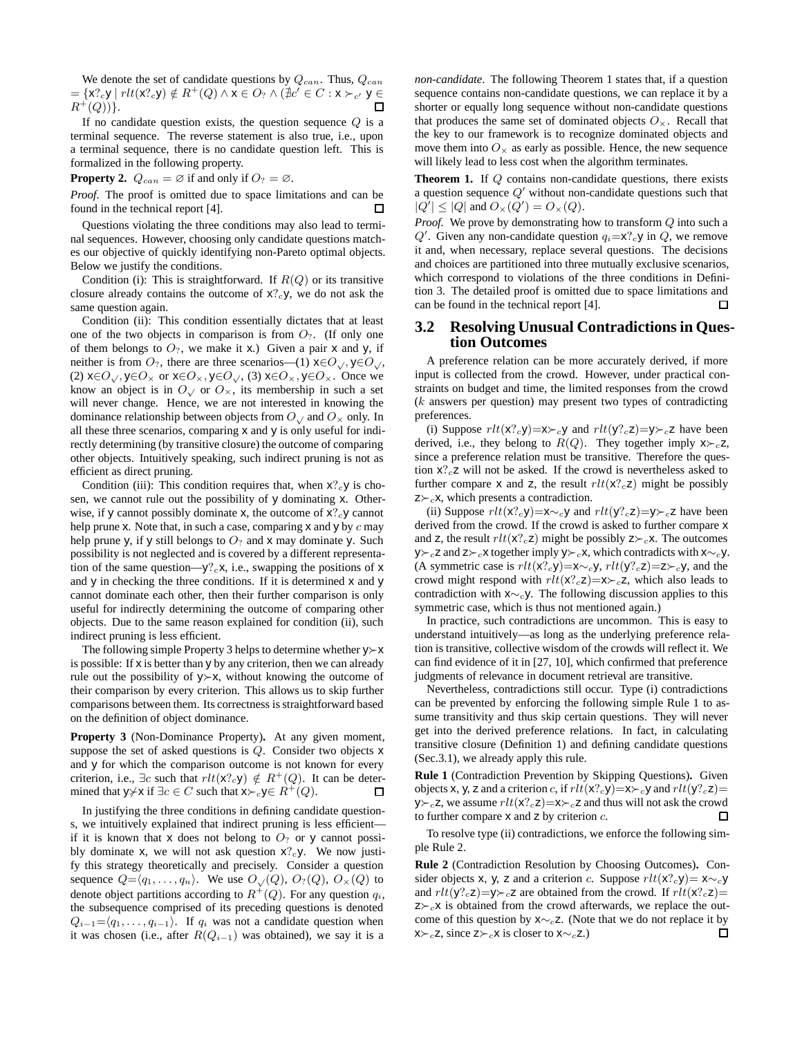We denote the set of candidate questions by  $Q_{can}$ . Thus,  $Q_{can}$  $=\{x?_{c}y \mid rlt(x?_{c}y) \notin R^{+}(Q) \land x \in O_? \land (\nexists c' \in C : x \succ_{c'} y \in C) \}$  $R^+(Q)$ }.

If no candidate question exists, the question sequence  $Q$  is a terminal sequence. The reverse statement is also true, i.e., upon a terminal sequence, there is no candidate question left. This is formalized in the following property.

**Property 2.**  $Q_{can} = \emptyset$  if and only if  $O_? = \emptyset$ .

*Proof.* The proof is omitted due to space limitations and can be found in the technical report [4].  $\Box$ 

Questions violating the three conditions may also lead to terminal sequences. However, choosing only candidate questions matches our objective of quickly identifying non-Pareto optimal objects. Below we justify the conditions.

Condition (i): This is straightforward. If  $R(Q)$  or its transitive closure already contains the outcome of  $x?_c$ y, we do not ask the same question again.

Condition (ii): This condition essentially dictates that at least one of the two objects in comparison is from  $O_2$ . (If only one of them belongs to  $O_7$ , we make it x.) Given a pair x and y, if neither is from  $O_?$ , there are three scenarios—(1)  $x \in O \sim y \in O \sim y$ , (2)  $x \in O_{\sqrt{2}}$ ,  $y \in O_{\times}$  or  $x \in O_{\times}$ ,  $y \in O_{\sqrt{2}}$ ,  $(3)$   $x \in O_{\times}$ ,  $y \in O_{\times}$ . Once we know an object is in  $O_{\sqrt{}}$  or  $O_{\times}$ , its membership in such a set will never change. Hence, we are not interested in knowing the dominance relationship between objects from  $O_{\sqrt{}}$  and  $O_{\times}$  only. In all these three scenarios, comparing x and y is only useful for indirectly determining (by transitive closure) the outcome of comparing other objects. Intuitively speaking, such indirect pruning is not as efficient as direct pruning.

Condition (iii): This condition requires that, when  $x?_c$ y is chosen, we cannot rule out the possibility of y dominating x. Otherwise, if y cannot possibly dominate x, the outcome of  $x?_c$ y cannot help prune  $x$ . Note that, in such a case, comparing  $x$  and  $y$  by  $c$  may help prune y, if y still belongs to  $O_2$  and x may dominate y. Such possibility is not neglected and is covered by a different representation of the same question—y?<sub>c</sub>x, i.e., swapping the positions of x and y in checking the three conditions. If it is determined x and y cannot dominate each other, then their further comparison is only useful for indirectly determining the outcome of comparing other objects. Due to the same reason explained for condition (ii), such indirect pruning is less efficient.

The following simple Property 3 helps to determine whether y≻x is possible: If x is better than y by any criterion, then we can already rule out the possibility of y≻x, without knowing the outcome of their comparison by every criterion. This allows us to skip further comparisons between them. Its correctness is straightforward based on the definition of object dominance.

**Property 3** (Non-Dominance Property)**.** At any given moment, suppose the set of asked questions is  $Q$ . Consider two objects  $x$ and y for which the comparison outcome is not known for every criterion, i.e.,  $\exists c$  such that  $rlt(\mathbf{x}^2 c \mathbf{y}) \notin R^+(Q)$ . It can be determined that  $y \nless x$  if  $\exists c \in C$  such that  $x \succ_c y \in R^+(Q)$ .  $\Box$ 

In justifying the three conditions in defining candidate questions, we intuitively explained that indirect pruning is less efficient if it is known that  $x$  does not belong to  $O_?$  or  $y$  cannot possibly dominate x, we will not ask question  $x?_c$ y. We now justify this strategy theoretically and precisely. Consider a question sequence  $Q = \langle q_1, \ldots, q_n \rangle$ . We use  $O_{\sqrt{Q}}(Q), O_{\sqrt{Q}}(Q), O_{\times}(Q)$  to denote object partitions according to  $R^+(Q)$ . For any question  $q_i$ , the subsequence comprised of its preceding questions is denoted  $Q_{i-1} = \langle q_1, \ldots, q_{i-1} \rangle$ . If  $q_i$  was not a candidate question when it was chosen (i.e., after  $R(Q_{i-1})$  was obtained), we say it is a

*non-candidate*. The following Theorem 1 states that, if a question sequence contains non-candidate questions, we can replace it by a shorter or equally long sequence without non-candidate questions that produces the same set of dominated objects  $O_{\times}$ . Recall that the key to our framework is to recognize dominated objects and move them into  $O_{\times}$  as early as possible. Hence, the new sequence will likely lead to less cost when the algorithm terminates.

**Theorem 1.** If Q contains non-candidate questions, there exists a question sequence  $Q'$  without non-candidate questions such that  $|Q'| \leq |Q|$  and  $O_\times(Q') = O_\times(Q)$ .

*Proof.* We prove by demonstrating how to transform  $Q$  into such a  $Q'$ . Given any non-candidate question  $q_i = x?_c$ y in  $Q$ , we remove it and, when necessary, replace several questions. The decisions and choices are partitioned into three mutually exclusive scenarios, which correspond to violations of the three conditions in Definition 3. The detailed proof is omitted due to space limitations and can be found in the technical report [4]. П

## **3.2 Resolving Unusual Contradictions in Question Outcomes**

A preference relation can be more accurately derived, if more input is collected from the crowd. However, under practical constraints on budget and time, the limited responses from the crowd (k answers per question) may present two types of contradicting preferences.

(i) Suppose  $rlt(\mathbf{x}$ ?<sub>c</sub>y)= $\mathbf{x} \succ c$ y and  $rlt(\mathbf{y}$ ?<sub>c</sub>z)= $\mathbf{y} \succ c$ z have been derived, i.e., they belong to  $R(Q)$ . They together imply  $x \succ c z$ , since a preference relation must be transitive. Therefore the question  $x?_c$ z will not be asked. If the crowd is nevertheless asked to further compare x and z, the result  $rlt(x\text{?}_c\text{z})$  might be possibly  $z \succ c$ x, which presents a contradiction.

(ii) Suppose  $rlt(\mathbf{x}$ ?<sub>c</sub>y)= $\mathbf{x} \sim c$ y and  $rlt(\mathbf{y}$ ?<sub>c</sub>z)= $\mathbf{y} \succ c$ z have been derived from the crowd. If the crowd is asked to further compare x and z, the result  $rlt(\mathbf{x}$ ?<sub>c</sub> $\mathbf{z})$  might be possibly  $\mathbf{z} \succ c$ **x**. The outcomes y≻<sub>c</sub>z and z≻<sub>c</sub>x together imply y≻<sub>c</sub>x, which contradicts with x∼<sub>c</sub>y. (A symmetric case is  $rlt(\mathbf{x}$ ?<sub>c</sub>y)=x∼<sub>c</sub>y,  $rlt(\mathbf{y}$ ?<sub>c</sub>z)=z≻<sub>c</sub>y, and the crowd might respond with  $rlt(x?cz) = x \rightarrow cz$ , which also leads to contradiction with  $x \sim_c y$ . The following discussion applies to this symmetric case, which is thus not mentioned again.)

In practice, such contradictions are uncommon. This is easy to understand intuitively—as long as the underlying preference relation is transitive, collective wisdom of the crowds will reflect it. We can find evidence of it in [27, 10], which confirmed that preference judgments of relevance in document retrieval are transitive.

Nevertheless, contradictions still occur. Type (i) contradictions can be prevented by enforcing the following simple Rule 1 to assume transitivity and thus skip certain questions. They will never get into the derived preference relations. In fact, in calculating transitive closure (Definition 1) and defining candidate questions (Sec.3.1), we already apply this rule.

**Rule 1** (Contradiction Prevention by Skipping Questions)**.** Given objects x, y, z and a criterion c, if  $rlt(x?_c y) = x \rightarrow c y$  and  $rlt(y?_c z) =$ y≻<sub>c</sub>z, we assume  $rlt(x$ ?<sub>c</sub>z)=x≻<sub>c</sub>z and thus will not ask the crowd to further compare  $x$  and  $z$  by criterion  $c$ . П

To resolve type (ii) contradictions, we enforce the following simple Rule 2.

**Rule 2** (Contradiction Resolution by Choosing Outcomes)**.** Consider objects x, y, z and a criterion c. Suppose  $rlt(x?_c y) = x \sim_c y$ and  $rlt(y?c) = y \succ c$ z are obtained from the crowd. If  $rlt(x?c) =$  $z \rightarrow cx$  is obtained from the crowd afterwards, we replace the outcome of this question by  $x \sim_c z$ . (Note that we do not replace it by  $x \succ c$ z, since z≻cx is closer to  $x \sim c$ z.) 口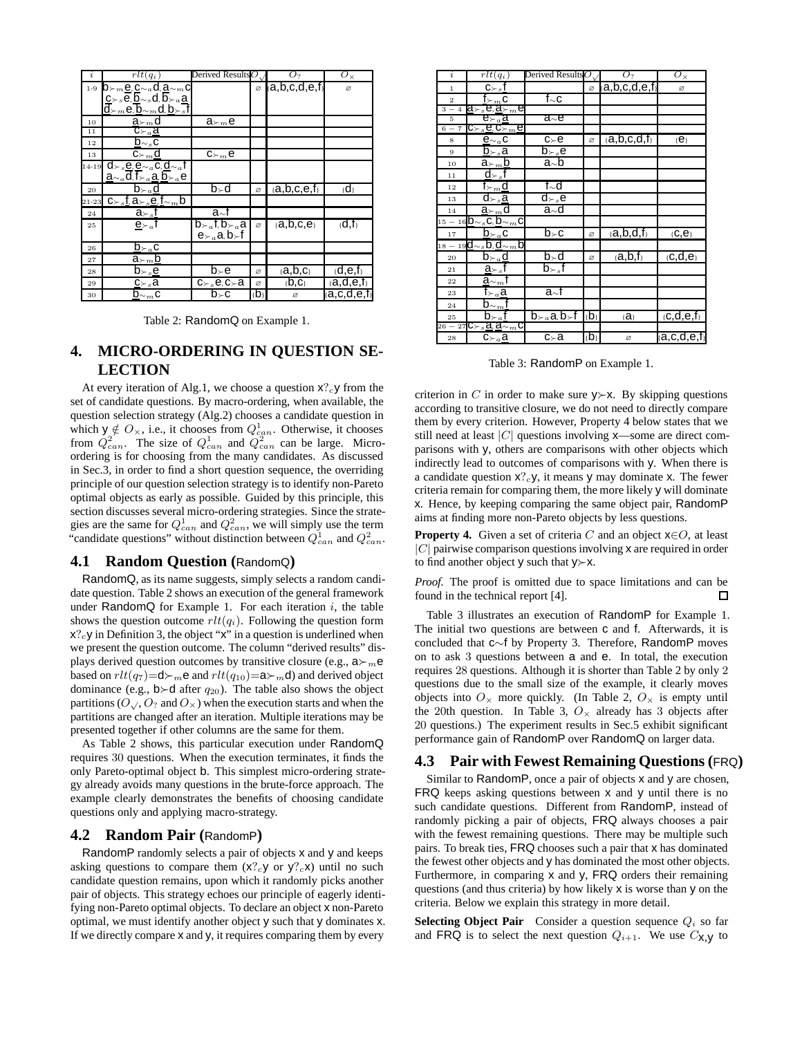| i      | $\overline{rlt}(q_i)$                                                                                                                                                        | Derived Results $O_{\sqrt{}}$        |         | O <sub>2</sub>         | $O_{\times}$                |
|--------|------------------------------------------------------------------------------------------------------------------------------------------------------------------------------|--------------------------------------|---------|------------------------|-----------------------------|
|        | 1-9 $\mathbf{b}_{\geq m}$ $\underline{\mathbf{e}}$ , $\underline{\mathbf{c}}_{\leq a}$ $\underline{\mathbf{d}}$ , $\underline{\mathbf{a}}_{\leq m}$ $\underline{\mathbf{c}}$ |                                      |         | $\alpha$ (a,b,c,d,e,f) | ø                           |
|        | $\underline{\mathbf{C}}\succ_{s}\mathbf{e}, \underline{\mathbf{b}}\sim_{s}\mathbf{d}, \overline{\mathbf{b}}\succ_{a}\underline{\mathbf{a}}$                                  |                                      |         |                        |                             |
|        | $\overline{\mathsf{d}}\!\!\succ_m\!\mathsf{e}_\cdot\!\overline{\mathsf{b}}\!\!\sim_m\!\mathsf{d}_\cdot\!\mathsf{b}\!\!\succ_s\!\overline{\mathsf{f}}$                        |                                      |         |                        |                             |
| 10     | <u>a</u> ⊱"d                                                                                                                                                                 | $a_{\succ m}e$                       |         |                        |                             |
| $1\,1$ | $\mathtt{C}\!\succ_a\!\mathtt{a}$                                                                                                                                            |                                      |         |                        |                             |
| 12     | $b_{\sim s}c$                                                                                                                                                                |                                      |         |                        |                             |
| $1\,3$ | $\mathtt{C}_{\succ m}$ d                                                                                                                                                     | $c_{\succ m}e$                       |         |                        |                             |
|        | $_{14\text{-}19}$ d $_{\succ s}$ e,e $_{\sim a}$ c,d $_{\sim a}$ f                                                                                                           |                                      |         |                        |                             |
|        | $\underline{a} \sim_a \overline{d}$ , $\underline{f} \succ_a \underline{a}$ , $\underline{b} \succ_a \underline{e}$                                                          |                                      |         |                        |                             |
| 20     | $\mathsf{b}_{\succ a}$ d                                                                                                                                                     | b⊱d                                  | ø       | (a,b,c,e,f)            | ≀d⊦                         |
| 21-23  | $c_{\succ_s}$ f.a $\succ_s$ e.f $\sim_m$ b                                                                                                                                   |                                      |         |                        |                             |
| 24     | a⊱ <u>,t</u>                                                                                                                                                                 | a≂f                                  |         |                        |                             |
| 25     | $e_{\succ a}$ f                                                                                                                                                              | b⊱"f.b⊱"a                            | ø       | (a,b,c,e)              | ∤d,f                        |
|        |                                                                                                                                                                              | $e_{\succ}$ a b $\succ$ f            |         |                        |                             |
| 26     | $b_{\succ a}c$                                                                                                                                                               |                                      |         |                        |                             |
| 27     | $a_{\succ m}$ <u>b</u>                                                                                                                                                       |                                      |         |                        |                             |
| 28     | $b_{\succ s}$ e                                                                                                                                                              | b⊱e                                  | ø       | (a,b,c)                | $\overline{\mathsf{d,e,f}}$ |
| 29     | $c_{\succ s}$ a                                                                                                                                                              | $C \rightarrow s e, C \rightarrow a$ | ø       | $\{b, c\}$             | ≀a,d,e,f                    |
| 30     | b $\sim_m$ c                                                                                                                                                                 | b⊱c                                  | $\{b\}$ | ø                      | $\{a, c, d, e, f\}$         |

Table 2: RandomQ on Example 1.

# **4. MICRO-ORDERING IN QUESTION SE-LECTION**

At every iteration of Alg.1, we choose a question  $x?_c$ y from the set of candidate questions. By macro-ordering, when available, the question selection strategy (Alg.2) chooses a candidate question in which  $y \notin O_{\times}$ , i.e., it chooses from  $Q_{can}^1$ . Otherwise, it chooses from  $Q_{can}^2$ . The size of  $Q_{can}^1$  and  $Q_{can}^2$  can be large. Microordering is for choosing from the many candidates. As discussed in Sec.3, in order to find a short question sequence, the overriding principle of our question selection strategy is to identify non-Pareto optimal objects as early as possible. Guided by this principle, this section discusses several micro-ordering strategies. Since the strategies are the same for  $Q_{can}^1$  and  $Q_{can}^2$ , we will simply use the term "candidate questions" without distinction between  $Q_{can}^1$  and  $Q_{can}^2$ .

#### **4.1 Random Question (**RandomQ**)**

RandomQ, as its name suggests, simply selects a random candidate question. Table 2 shows an execution of the general framework under RandomQ for Example 1. For each iteration  $i$ , the table shows the question outcome  $rlt(q_i)$ . Following the question form  $x?_c$ y in Definition 3, the object "x" in a question is underlined when we present the question outcome. The column "derived results" displays derived question outcomes by transitive closure (e.g.,  $a \succ_{m} e$ based on  $rlt(q_7)=d\succ_m e$  and  $rlt(q_{10})=a\succ_m d$ ) and derived object dominance (e.g.,  $b \rightarrow d$  after  $q_{20}$ ). The table also shows the object partitions ( $O_{\sqrt{2}}$ ,  $O_2$  and  $O_{\times}$ ) when the execution starts and when the partitions are changed after an iteration. Multiple iterations may be presented together if other columns are the same for them.

As Table 2 shows, this particular execution under RandomQ requires 30 questions. When the execution terminates, it finds the only Pareto-optimal object b. This simplest micro-ordering strategy already avoids many questions in the brute-force approach. The example clearly demonstrates the benefits of choosing candidate questions only and applying macro-strategy.

#### **4.2 Random Pair (**RandomP**)**

RandomP randomly selects a pair of objects x and y and keeps asking questions to compare them  $(X_{c}^{2}y)$  or  $Y_{c}^{2}x$ ) until no such candidate question remains, upon which it randomly picks another pair of objects. This strategy echoes our principle of eagerly identifying non-Pareto optimal objects. To declare an object x non-Pareto optimal, we must identify another object y such that y dominates x. If we directly compare x and y, it requires comparing them by every

| $\dot{\imath}$ | $\overline{rlt}(q_i)$                                                                        | Derived Results $\overline{O}_{\sqrt{2}}$ |     | O <sub>?</sub>         | $\overline{O}_{\times}$ |
|----------------|----------------------------------------------------------------------------------------------|-------------------------------------------|-----|------------------------|-------------------------|
| $\mathbf 1$    | $\textbf{C}\succ_{s}\textbf{I}$                                                              |                                           |     | $\alpha$ (a,b,c,d,e,f) | ø                       |
| $\overline{2}$ | $\mathsf{f}_{\succ m}$ C                                                                     | f≂c                                       |     |                        |                         |
| $3 - 4$        | <u>a⊱"e,ä⊱"e</u>                                                                             |                                           |     |                        |                         |
| 5              | $\mathbf{e}_{\succeq_a} \mathbf{a}$                                                          | a≂e                                       |     |                        |                         |
| $6 - 7$        | $\mathsf{C}\succ_s \mathsf{\underline{e}}, \tilde{\mathsf{C}}\succ_m \mathsf{\underline{e}}$ |                                           |     |                        |                         |
| $\bf8$         | $e_{\sim a}c$                                                                                | $c_{\succ}e$                              | ø   | (a,b,c,d,f)            | (e)                     |
| 9              | b⊱ <sub>s</sub> a                                                                            | $\overline{\mathsf{b}_{\succ s}}$ e       |     |                        |                         |
| 10             | $a_{\succ m}$ b                                                                              | $a_{\sim}b$                               |     |                        |                         |
| $1\,1$         | <u>d</u> ≻  sf                                                                               |                                           |     |                        |                         |
| 12             | $f_{\succ m}$ d                                                                              | f≂d                                       |     |                        |                         |
| 13             | d⊱ <u>,a</u>                                                                                 | d⊱ $_s$ e                                 |     |                        |                         |
| 14             | $a_{\succ m}$ d                                                                              | a≂d                                       |     |                        |                         |
|                | 15 – 16 $\mathsf{b}\mathbb{x}_s$ C, $\mathsf{b}\mathbb{x}_m$ C                               |                                           |     |                        |                         |
| 17             | $b_{\succ a}$ c                                                                              | b⊱c                                       | ø   | $_{(a,b,d,f)}$         | ${C, e}$                |
|                | $18 - 190 \sim s$ b, $0 \sim m$ b                                                            |                                           |     |                        |                         |
| 20             | $\mathsf{b}_{\succ a}$ d                                                                     | b⊱d                                       | ø   | $_{(a,b,f)}$           | ${C, d, e}$             |
| 21             | <u>a</u> ⊱ ∘                                                                                 | $\mathsf{b}_{\succ s}\mathsf{f}$          |     |                        |                         |
| 22             | $\underline{\mathsf{a}}_{\sim m}$ t                                                          |                                           |     |                        |                         |
| 23             | f⊱ <sub>a</sub> a                                                                            | a≂f                                       |     |                        |                         |
| 24             | b $\sim_m$ <u>r</u>                                                                          |                                           |     |                        |                         |
| 25             | $\mathsf{b}_{\succ a}$ t                                                                     | b⊱ <sub>a</sub> a,b⊱f                     | ≀b≀ | $\{a\}$                | ${c,d,e,f}$             |
|                | $_{26\,-\,27}$ C $\succ_{s}$ a,a $\sim_{m}$ C                                                |                                           |     |                        |                         |
| $\bf 28$       | $C_{\succ a}$ a                                                                              | c⊱a                                       | ≀b≀ | ø                      | $_{(a, c, d, e, f)}$    |

Table 3: RandomP on Example 1.

criterion in C in order to make sure  $y \rightarrow x$ . By skipping questions according to transitive closure, we do not need to directly compare them by every criterion. However, Property 4 below states that we still need at least  $|C|$  questions involving  $x$ —some are direct comparisons with y, others are comparisons with other objects which indirectly lead to outcomes of comparisons with y. When there is a candidate question  $x?_c$ y, it means y may dominate x. The fewer criteria remain for comparing them, the more likely y will dominate x. Hence, by keeping comparing the same object pair, RandomP aims at finding more non-Pareto objects by less questions.

**Property 4.** Given a set of criteria C and an object  $x \in O$ , at least  $|C|$  pairwise comparison questions involving  $x$  are required in order to find another object y such that y≻x.

*Proof.* The proof is omitted due to space limitations and can be found in the technical report [4]. П

Table 3 illustrates an execution of RandomP for Example 1. The initial two questions are between c and f. Afterwards, it is concluded that c∼f by Property 3. Therefore, RandomP moves on to ask 3 questions between a and e. In total, the execution requires 28 questions. Although it is shorter than Table 2 by only 2 questions due to the small size of the example, it clearly moves objects into  $O_x$  more quickly. (In Table 2,  $O_x$  is empty until the 20th question. In Table 3,  $O_x$  already has 3 objects after 20 questions.) The experiment results in Sec.5 exhibit significant performance gain of RandomP over RandomQ on larger data.

## **4.3 Pair with Fewest Remaining Questions (**FRQ**)**

Similar to RandomP, once a pair of objects x and y are chosen, FRQ keeps asking questions between x and y until there is no such candidate questions. Different from RandomP, instead of randomly picking a pair of objects, FRQ always chooses a pair with the fewest remaining questions. There may be multiple such pairs. To break ties, FRQ chooses such a pair that x has dominated the fewest other objects and y has dominated the most other objects. Furthermore, in comparing x and y, FRQ orders their remaining questions (and thus criteria) by how likely x is worse than y on the criteria. Below we explain this strategy in more detail.

**Selecting Object Pair** Consider a question sequence  $Q_i$  so far and FRQ is to select the next question  $Q_{i+1}$ . We use  $C_{X,Y}$  to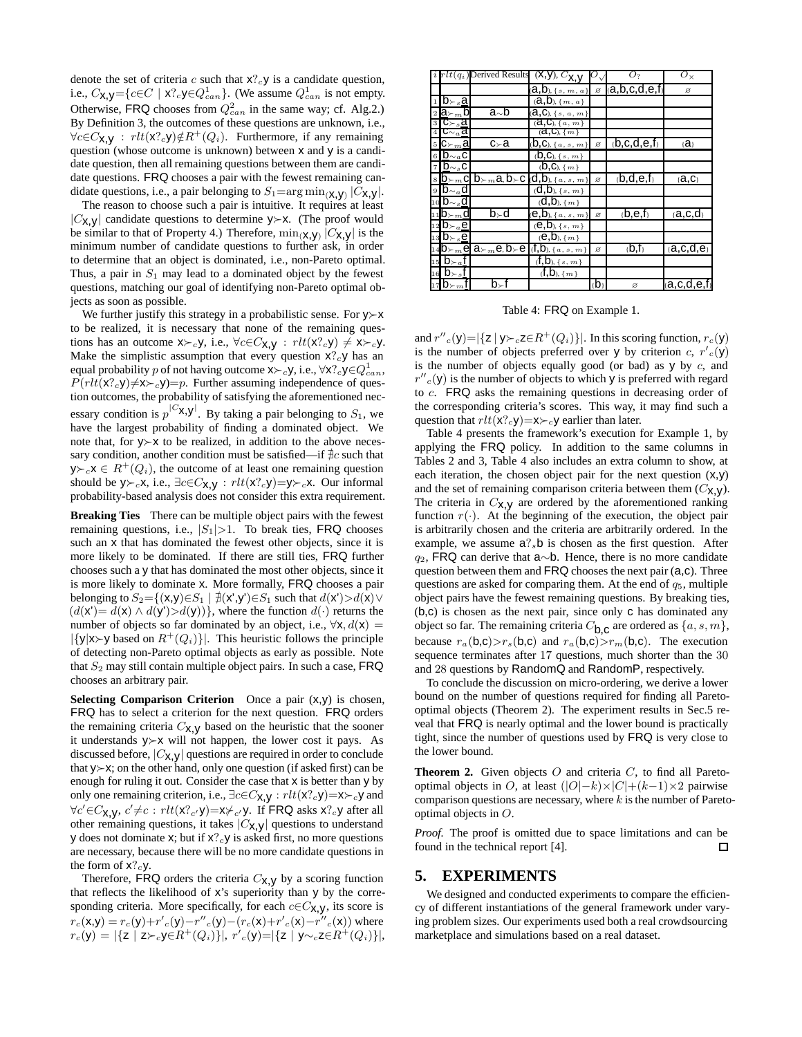denote the set of criteria  $c$  such that  $x$ ? $c$ y is a candidate question, i.e.,  $C_{\mathbf{X},\mathbf{Y}} = \{ c \in C \mid \mathbf{X}^? c \mathbf{y} \in Q_{can}^1 \}$ . (We assume  $Q_{can}^1$  is not empty. Otherwise, FRQ chooses from  $Q_{can}^2$  in the same way; cf. Alg.2.) By Definition 3, the outcomes of these questions are unknown, i.e.,  $\forall c \in C_{\mathbf{X},\mathbf{Y}} : rlt(\mathbf{X}^2, \mathbf{y}) \notin R^+(Q_i)$ . Furthermore, if any remaining question (whose outcome is unknown) between x and y is a candidate question, then all remaining questions between them are candidate questions. FRQ chooses a pair with the fewest remaining candidate questions, i.e., a pair belonging to  $S_1 = \arg \min_{(\mathbf{X}, \mathbf{y})} |C_{\mathbf{X}, \mathbf{y}}|$ .

The reason to choose such a pair is intuitive. It requires at least  $|C_{\mathbf{X},\mathbf{Y}}|$  candidate questions to determine y≻x. (The proof would be similar to that of Property 4.) Therefore,  $\min_{(\mathbf{X}, \mathbf{y})} |C_{\mathbf{X}, \mathbf{y}}|$  is the minimum number of candidate questions to further ask, in order to determine that an object is dominated, i.e., non-Pareto optimal. Thus, a pair in  $S_1$  may lead to a dominated object by the fewest questions, matching our goal of identifying non-Pareto optimal objects as soon as possible.

We further justify this strategy in a probabilistic sense. For y≻x to be realized, it is necessary that none of the remaining questions has an outcome  $x \succ c$ y, i.e.,  $\forall c \in C_{X,Y} : rlt(x?cY) \neq x \succ cY$ . Make the simplistic assumption that every question  $x?_c$ y has an equal probability p of not having outcome  $\mathsf{x}\succ_{c}\mathsf{y}$ , i.e.,  $\forall \mathsf{x}?_{c}\mathsf{y} {\in} Q_{can}^{1},$  $P(rlt(\mathbf{x}^?c\mathbf{y})\neq \mathbf{x}\succ_c \mathbf{y})=p$ . Further assuming independence of question outcomes, the probability of satisfying the aforementioned necessary condition is  $p^{|C}\mathsf{X}, \mathsf{Y}^{\perp}$ . By taking a pair belonging to  $S_1$ , we have the largest probability of finding a dominated object. We note that, for y≻x to be realized, in addition to the above necessary condition, another condition must be satisfied—if  $#c$  such that  $y \succ_c x \in R^+(Q_i)$ , the outcome of at least one remaining question should be y≻<sub>c</sub>x, i.e.,  $\exists c \in C_{X,Y}$  :  $rlt(x?_c y) = y \succ_c x$ . Our informal probability-based analysis does not consider this extra requirement.

**Breaking Ties** There can be multiple object pairs with the fewest remaining questions, i.e.,  $|S_1|>1$ . To break ties, FRQ chooses such an x that has dominated the fewest other objects, since it is more likely to be dominated. If there are still ties, FRQ further chooses such a y that has dominated the most other objects, since it is more likely to dominate x. More formally, FRQ chooses a pair belonging to  $S_2 = \{ (x,y) \in S_1 \mid \nexists (x',y') \in S_1 \text{ such that } d(x') > d(x) \vee$  $(d(\mathbf{x}') = d(\mathbf{x}) \wedge d(\mathbf{y}') > d(\mathbf{y}))$ , where the function  $d(\cdot)$  returns the number of objects so far dominated by an object, i.e.,  $\forall x, d(x) =$  $|\{y|x \rightarrow y \text{ based on } R^+(Q_i)\}|$ . This heuristic follows the principle of detecting non-Pareto optimal objects as early as possible. Note that  $S_2$  may still contain multiple object pairs. In such a case,  $FRQ$ chooses an arbitrary pair.

Selecting Comparison Criterion Once a pair  $(x,y)$  is chosen, FRQ has to select a criterion for the next question. FRQ orders the remaining criteria  $C_{\text{X},\text{Y}}$  based on the heuristic that the sooner it understands y≻x will not happen, the lower cost it pays. As discussed before,  $|C_{\mathbf{X},\mathbf{y}}|$  questions are required in order to conclude that y≻x; on the other hand, only one question (if asked first) can be enough for ruling it out. Consider the case that x is better than y by only one remaining criterion, i.e.,  $\exists c \in C_{\mathbf{X},\mathbf{y}} : r \cdot \mathit{lt}(\mathbf{x} \cdot c \mathbf{y}) = \mathbf{x} \succ c \mathbf{y}$  and ∀c′∈Cx,y, c′≠c : rlt(x?<sub>c′</sub>y)=x⊁<sub>c′</sub>y. If FRQ asks x?<sub>c</sub>y after all other remaining questions, it takes  $|C_{\mathbf{X},\mathbf{V}}|$  questions to understand y does not dominate x; but if  $x?_c$ y is asked first, no more questions are necessary, because there will be no more candidate questions in the form of  $x?_c$ y.

Therefore, FRQ orders the criteria  $C_{\text{X},\text{Y}}$  by a scoring function that reflects the likelihood of x's superiority than y by the corresponding criteria. More specifically, for each  $c \in C_{X,Y}$ , its score is  $r_c(\mathbf{x}, \mathbf{y}) = r_c(\mathbf{y}) + r'_{c}(\mathbf{y}) - r''_{c}(\mathbf{y}) - (r_c(\mathbf{x}) + r'_{c}(\mathbf{x}) - r''_{c}(\mathbf{x}))$  where  $r_c(\mathsf{y}) = |\{\mathsf{z} \mid \mathsf{z} \succ_c \mathsf{y} \in R^+(Q_i)\}|, \, r^\prime{}_c(\mathsf{y}) {=} |\{\mathsf{z} \mid \mathsf{y} {\sim_c} \mathsf{z} \in R^+(Q_i)\}|,$ 

|    |                                           | $rlt(q_i)$ Derived Results | $(X, Y), C_{X, V}$                                                                        |         | O2                              | $O_{\times}$        |
|----|-------------------------------------------|----------------------------|-------------------------------------------------------------------------------------------|---------|---------------------------------|---------------------|
|    |                                           |                            | $\{a,b\}, \{s,m,a\}$                                                                      | ø       | (a,b,c,d,e,f)                   | ø                   |
| 1  | $\mathsf{b}_{\succeq s}$ a                |                            | $(a,b), \{m, a\}$                                                                         |         |                                 |                     |
|    | 2 $\mathbf{a}$ ⊱ m D                      | a≂b                        | $(a, c), \{s, a, m\}$                                                                     |         |                                 |                     |
|    | c⊱ <sub>s</sub> a                         |                            | $(\overline{\mathbf{d}},\mathbf{\overline{C}})$ , $\{a, m\}$                              |         |                                 |                     |
|    | $\mathtt{C}\scriptstyle{\sim} a$ <u>a</u> |                            | $(a, c), \{m\}$                                                                           |         |                                 |                     |
|    | $5C \succ m 2$                            | c⊱a                        | $(b, c)$ , { $a, s, m$ }                                                                  | ø       | $_{\{}b,c,d,e,f\}$              | $\{a\}$             |
| 6  | $b_{\sim a}c$                             |                            | $(b, c), \{\{s, m\}}$                                                                     |         |                                 |                     |
|    | $D_{\sim s}C$                             |                            | $(b, c), \{m\}$                                                                           |         |                                 |                     |
|    | 8 <b>b</b> ≻m <b>C</b>                    |                            | $\mathsf{b}_{\succ m}$ a, $\mathsf{b}_{\succ}$ C (d, $\mathsf{b}_{\succ}$ , $\{a, s, m\}$ | ø       | $_{\{}b,d,e,f\}$                | $\{a, c\}$          |
|    | 9 $\mathsf{D}\sim_a\mathsf{C}$            |                            | $(d,b), \{\,s, m\}$                                                                       |         |                                 |                     |
| 10 | $b_{\sim s}$ d                            |                            | $\overline{\mathbf{d}},\mathbf{b}$ <sub>1</sub> , $\{m\}$                                 |         |                                 |                     |
|    | 11 $\mathsf{D}\succ_m\mathsf{Q}$          | b⊱d                        | $(\mathsf{\mathbf{\Theta}},\mathsf{\mathbf{\mathsf{D}}}),\{a, s, m\}$                     | ø       | $_{\{}b,e,f\}$                  | <sub>≀</sub> a,c,dյ |
| 12 | $b_{\succ a}e$                            |                            | $\overline{\mathfrak{e}},\mathsf{b}$ ), {s, m}                                            |         |                                 |                     |
|    | $_{13}$ b $\succ_{s}$ e                   |                            | $(e, b), \{m\}$                                                                           |         |                                 |                     |
|    | $\mathsf{D}\succ m$ e                     |                            | $a_{\succ m}e,b_{\succ}e$ (f, b), {a, s, m}                                               | ø       | $\{\overline{b},\overline{f}\}$ | (a, c, d, e)        |
| 15 |                                           |                            | $(f, b), \{s, m\}$                                                                        |         |                                 |                     |
| 16 | $\mathsf{D}\succ_s \mathsf{I}$            |                            | $(f, b), \{m\}$                                                                           |         |                                 |                     |
|    | $\mathsf{D}\succ m$ l                     | b⊱t                        |                                                                                           | $\{b\}$ | ø                               | $\{a, c, d, e, f\}$ |

Table 4: FRQ on Example 1.

and  $r''_c(y)=|\{z \mid y \succ_c z \in R^+(Q_i)\}|$ . In this scoring function,  $r_c(y)$ is the number of objects preferred over y by criterion c,  $r'_{c}(y)$ is the number of objects equally good (or bad) as  $y$  by  $c$ , and  $r''$ <sub>c</sub>(y) is the number of objects to which y is preferred with regard to c. FRQ asks the remaining questions in decreasing order of the corresponding criteria's scores. This way, it may find such a question that  $rlt(\mathbf{x}$ ?<sub>c</sub>y)= $\mathbf{x} \succ c$ y earlier than later.

Table 4 presents the framework's execution for Example 1, by applying the FRQ policy. In addition to the same columns in Tables 2 and 3, Table 4 also includes an extra column to show, at each iteration, the chosen object pair for the next question (x,y) and the set of remaining comparison criteria between them  $(C_{X,Y})$ . The criteria in  $C_{\textbf{X},\textbf{y}}$  are ordered by the aforementioned ranking function  $r(\cdot)$ . At the beginning of the execution, the object pair is arbitrarily chosen and the criteria are arbitrarily ordered. In the example, we assume  $a?s$ b is chosen as the first question. After  $q_2$ , FRQ can derive that a∼b. Hence, there is no more candidate question between them and FRQ chooses the next pair (a,c). Three questions are asked for comparing them. At the end of  $q_5$ , multiple object pairs have the fewest remaining questions. By breaking ties, (b,c) is chosen as the next pair, since only c has dominated any object so far. The remaining criteria  $C_{\mathbf{b},\mathbf{c}}$  are ordered as  $\{a, s, m\}$ , because  $r_a(b,c) > r_s(b,c)$  and  $r_a(b,c) > r_m(b,c)$ . The execution sequence terminates after 17 questions, much shorter than the 30 and 28 questions by RandomQ and RandomP, respectively.

To conclude the discussion on micro-ordering, we derive a lower bound on the number of questions required for finding all Paretooptimal objects (Theorem 2). The experiment results in Sec.5 reveal that FRQ is nearly optimal and the lower bound is practically tight, since the number of questions used by FRQ is very close to the lower bound.

**Theorem 2.** Given objects O and criteria C, to find all Paretooptimal objects in O, at least  $(|O|-k) \times |C| + (k-1) \times 2$  pairwise comparison questions are necessary, where  $k$  is the number of Paretooptimal objects in O.

*Proof.* The proof is omitted due to space limitations and can be found in the technical report [4]. 口

# **5. EXPERIMENTS**

We designed and conducted experiments to compare the efficiency of different instantiations of the general framework under varying problem sizes. Our experiments used both a real crowdsourcing marketplace and simulations based on a real dataset.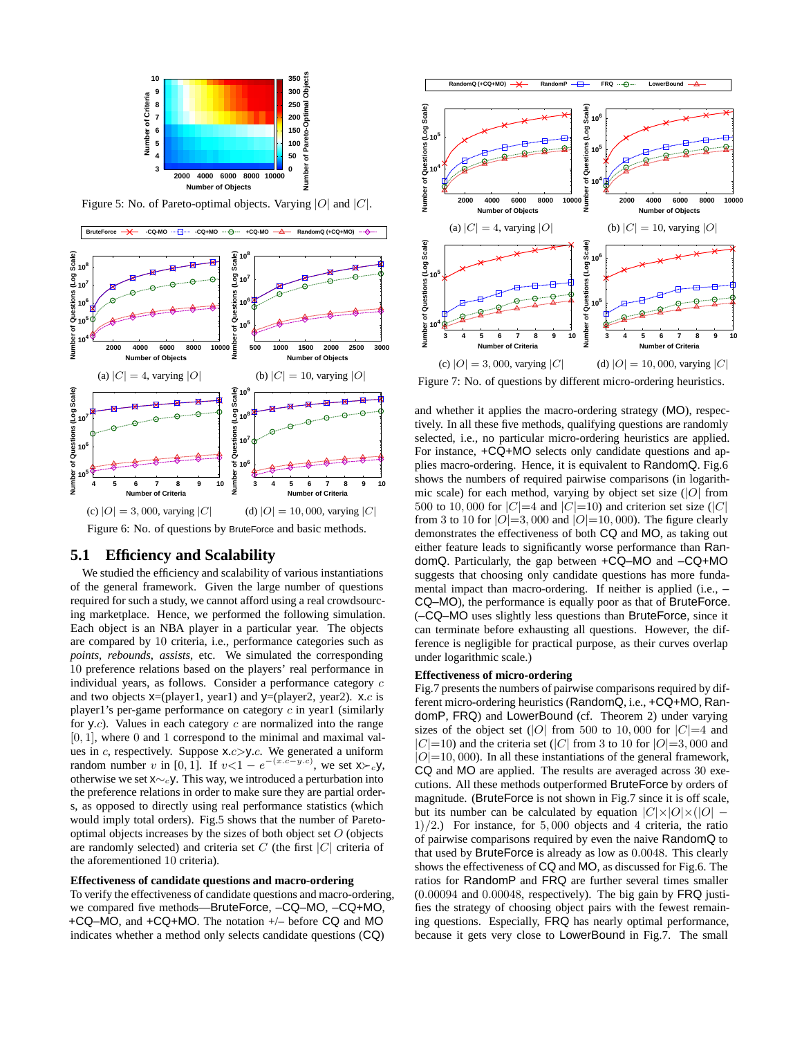

Figure 5: No. of Pareto-optimal objects. Varying  $|O|$  and  $|C|$ .



# **5.1 Efficiency and Scalability**

We studied the efficiency and scalability of various instantiations of the general framework. Given the large number of questions required for such a study, we cannot afford using a real crowdsourcing marketplace. Hence, we performed the following simulation. Each object is an NBA player in a particular year. The objects are compared by 10 criteria, i.e., performance categories such as *points*, *rebounds*, *assists*, etc. We simulated the corresponding 10 preference relations based on the players' real performance in individual years, as follows. Consider a performance category c and two objects  $x=(\text{player1}, \text{ year1})$  and  $y=(\text{player2}, \text{ year2})$ .  $x.c$  is player1's per-game performance on category  $c$  in year1 (similarly for  $y.c$ ). Values in each category  $c$  are normalized into the range  $[0, 1]$ , where 0 and 1 correspond to the minimal and maximal values in  $c$ , respectively. Suppose  $x.c$  y.c. We generated a uniform random number v in [0, 1]. If  $v < 1 - e^{-(x.c-y.c)}$ , we set  $x \succ c$ y, otherwise we set  $x \sim c$ y. This way, we introduced a perturbation into the preference relations in order to make sure they are partial orders, as opposed to directly using real performance statistics (which would imply total orders). Fig.5 shows that the number of Paretooptimal objects increases by the sizes of both object set  $O$  (objects are randomly selected) and criteria set  $C$  (the first  $|C|$  criteria of the aforementioned 10 criteria).

#### **Effectiveness of candidate questions and macro-ordering**

To verify the effectiveness of candidate questions and macro-ordering, we compared five methods—BruteForce, –CQ–MO, –CQ+MO, +CQ–MO, and +CQ+MO. The notation +/– before CQ and MO indicates whether a method only selects candidate questions (CQ)



Figure 7: No. of questions by different micro-ordering heuristics.

and whether it applies the macro-ordering strategy (MO), respectively. In all these five methods, qualifying questions are randomly selected, i.e., no particular micro-ordering heuristics are applied. For instance, +CQ+MO selects only candidate questions and applies macro-ordering. Hence, it is equivalent to RandomQ. Fig.6 shows the numbers of required pairwise comparisons (in logarithmic scale) for each method, varying by object set size  $(|O|)$  from 500 to 10,000 for  $|C|=4$  and  $|C|=10$ ) and criterion set size  $(|C|)$ from 3 to 10 for  $|O|=3,000$  and  $|O|=10,000$ . The figure clearly demonstrates the effectiveness of both CQ and MO, as taking out either feature leads to significantly worse performance than RandomQ. Particularly, the gap between +CQ–MO and –CQ+MO suggests that choosing only candidate questions has more fundamental impact than macro-ordering. If neither is applied (i.e., – CQ–MO), the performance is equally poor as that of BruteForce. (–CQ–MO uses slightly less questions than BruteForce, since it can terminate before exhausting all questions. However, the difference is negligible for practical purpose, as their curves overlap under logarithmic scale.)

#### **Effectiveness of micro-ordering**

Fig.7 presents the numbers of pairwise comparisons required by different micro-ordering heuristics (RandomQ, i.e., +CQ+MO, RandomP, FRQ) and LowerBound (cf. Theorem 2) under varying sizes of the object set (|O| from 500 to 10,000 for  $|C|=4$  and  $|C|=10$ ) and the criteria set (|C| from 3 to 10 for  $|O|=3$ , 000 and  $|O|=10,000$ . In all these instantiations of the general framework, CQ and MO are applied. The results are averaged across 30 executions. All these methods outperformed BruteForce by orders of magnitude. (BruteForce is not shown in Fig.7 since it is off scale, but its number can be calculated by equation  $|C|\times|O|\times|O|$  –  $1/2$ .) For instance, for 5,000 objects and 4 criteria, the ratio of pairwise comparisons required by even the naive RandomQ to that used by BruteForce is already as low as 0.0048. This clearly shows the effectiveness of CQ and MO, as discussed for Fig.6. The ratios for RandomP and FRQ are further several times smaller (0.00094 and 0.00048, respectively). The big gain by FRQ justifies the strategy of choosing object pairs with the fewest remaining questions. Especially, FRQ has nearly optimal performance, because it gets very close to LowerBound in Fig.7. The small